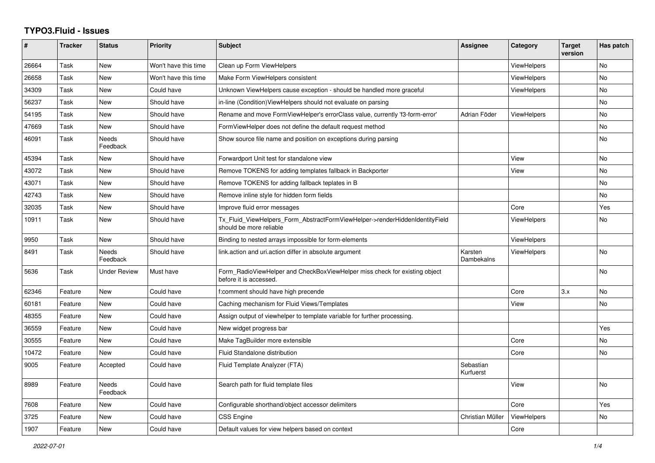## **TYPO3.Fluid - Issues**

| #     | <b>Tracker</b> | <b>Status</b>       | <b>Priority</b>      | <b>Subject</b>                                                                                         | Assignee               | Category           | <b>Target</b><br>version | Has patch |
|-------|----------------|---------------------|----------------------|--------------------------------------------------------------------------------------------------------|------------------------|--------------------|--------------------------|-----------|
| 26664 | Task           | <b>New</b>          | Won't have this time | Clean up Form ViewHelpers                                                                              |                        | ViewHelpers        |                          | <b>No</b> |
| 26658 | Task           | New                 | Won't have this time | Make Form ViewHelpers consistent                                                                       |                        | ViewHelpers        |                          | <b>No</b> |
| 34309 | Task           | New                 | Could have           | Unknown ViewHelpers cause exception - should be handled more graceful                                  |                        | ViewHelpers        |                          | No        |
| 56237 | Task           | New                 | Should have          | in-line (Condition) View Helpers should not evaluate on parsing                                        |                        |                    |                          | No        |
| 54195 | Task           | New                 | Should have          | Rename and move FormViewHelper's errorClass value, currently 'f3-form-error'                           | Adrian Föder           | ViewHelpers        |                          | <b>No</b> |
| 47669 | Task           | New                 | Should have          | FormViewHelper does not define the default request method                                              |                        |                    |                          | <b>No</b> |
| 46091 | Task           | Needs<br>Feedback   | Should have          | Show source file name and position on exceptions during parsing                                        |                        |                    |                          | No        |
| 45394 | Task           | New                 | Should have          | Forwardport Unit test for standalone view                                                              |                        | View               |                          | No        |
| 43072 | Task           | <b>New</b>          | Should have          | Remove TOKENS for adding templates fallback in Backporter                                              |                        | View               |                          | No        |
| 43071 | Task           | New                 | Should have          | Remove TOKENS for adding fallback teplates in B                                                        |                        |                    |                          | <b>No</b> |
| 42743 | Task           | New                 | Should have          | Remove inline style for hidden form fields                                                             |                        |                    |                          | No        |
| 32035 | Task           | New                 | Should have          | Improve fluid error messages                                                                           |                        | Core               |                          | Yes       |
| 10911 | Task           | <b>New</b>          | Should have          | Tx Fluid ViewHelpers Form AbstractFormViewHelper->renderHiddenIdentityField<br>should be more reliable |                        | <b>ViewHelpers</b> |                          | <b>No</b> |
| 9950  | Task           | New                 | Should have          | Binding to nested arrays impossible for form-elements                                                  |                        | <b>ViewHelpers</b> |                          |           |
| 8491  | Task           | Needs<br>Feedback   | Should have          | link.action and uri.action differ in absolute argument                                                 | Karsten<br>Dambekalns  | <b>ViewHelpers</b> |                          | No        |
| 5636  | Task           | <b>Under Review</b> | Must have            | Form_RadioViewHelper and CheckBoxViewHelper miss check for existing object<br>before it is accessed.   |                        |                    |                          | <b>No</b> |
| 62346 | Feature        | <b>New</b>          | Could have           | f:comment should have high precende                                                                    |                        | Core               | 3.x                      | No        |
| 60181 | Feature        | New                 | Could have           | Caching mechanism for Fluid Views/Templates                                                            |                        | View               |                          | <b>No</b> |
| 48355 | Feature        | New                 | Could have           | Assign output of viewhelper to template variable for further processing.                               |                        |                    |                          |           |
| 36559 | Feature        | New                 | Could have           | New widget progress bar                                                                                |                        |                    |                          | Yes       |
| 30555 | Feature        | <b>New</b>          | Could have           | Make TagBuilder more extensible                                                                        |                        | Core               |                          | <b>No</b> |
| 10472 | Feature        | <b>New</b>          | Could have           | Fluid Standalone distribution                                                                          |                        | Core               |                          | No        |
| 9005  | Feature        | Accepted            | Could have           | Fluid Template Analyzer (FTA)                                                                          | Sebastian<br>Kurfuerst |                    |                          |           |
| 8989  | Feature        | Needs<br>Feedback   | Could have           | Search path for fluid template files                                                                   |                        | View               |                          | <b>No</b> |
| 7608  | Feature        | New                 | Could have           | Configurable shorthand/object accessor delimiters                                                      |                        | Core               |                          | Yes       |
| 3725  | Feature        | New                 | Could have           | <b>CSS Engine</b>                                                                                      | Christian Müller       | ViewHelpers        |                          | No        |
| 1907  | Feature        | New                 | Could have           | Default values for view helpers based on context                                                       |                        | Core               |                          |           |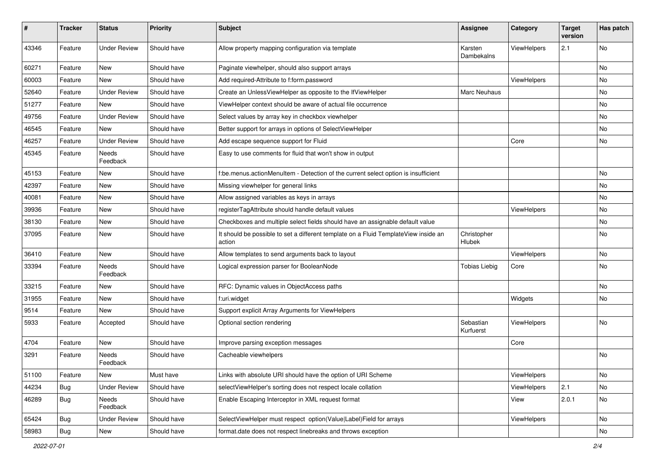| #     | <b>Tracker</b> | <b>Status</b>       | <b>Priority</b> | <b>Subject</b>                                                                                | <b>Assignee</b>        | Category    | <b>Target</b><br>version | Has patch |
|-------|----------------|---------------------|-----------------|-----------------------------------------------------------------------------------------------|------------------------|-------------|--------------------------|-----------|
| 43346 | Feature        | <b>Under Review</b> | Should have     | Allow property mapping configuration via template                                             | Karsten<br>Dambekalns  | ViewHelpers | 2.1                      | No        |
| 60271 | Feature        | New                 | Should have     | Paginate viewhelper, should also support arrays                                               |                        |             |                          | No        |
| 60003 | Feature        | <b>New</b>          | Should have     | Add required-Attribute to f:form.password                                                     |                        | ViewHelpers |                          | No        |
| 52640 | Feature        | <b>Under Review</b> | Should have     | Create an UnlessViewHelper as opposite to the IfViewHelper                                    | Marc Neuhaus           |             |                          | No        |
| 51277 | Feature        | New                 | Should have     | ViewHelper context should be aware of actual file occurrence                                  |                        |             |                          | No        |
| 49756 | Feature        | <b>Under Review</b> | Should have     | Select values by array key in checkbox viewhelper                                             |                        |             |                          | No        |
| 46545 | Feature        | New                 | Should have     | Better support for arrays in options of SelectViewHelper                                      |                        |             |                          | No        |
| 46257 | Feature        | <b>Under Review</b> | Should have     | Add escape sequence support for Fluid                                                         |                        | Core        |                          | No        |
| 45345 | Feature        | Needs<br>Feedback   | Should have     | Easy to use comments for fluid that won't show in output                                      |                        |             |                          |           |
| 45153 | Feature        | New                 | Should have     | f:be.menus.actionMenuItem - Detection of the current select option is insufficient            |                        |             |                          | <b>No</b> |
| 42397 | Feature        | New                 | Should have     | Missing viewhelper for general links                                                          |                        |             |                          | No        |
| 40081 | Feature        | <b>New</b>          | Should have     | Allow assigned variables as keys in arrays                                                    |                        |             |                          | No.       |
| 39936 | Feature        | New                 | Should have     | registerTagAttribute should handle default values                                             |                        | ViewHelpers |                          | No        |
| 38130 | Feature        | New                 | Should have     | Checkboxes and multiple select fields should have an assignable default value                 |                        |             |                          | No        |
| 37095 | Feature        | New                 | Should have     | It should be possible to set a different template on a Fluid TemplateView inside an<br>action | Christopher<br>Hlubek  |             |                          | No        |
| 36410 | Feature        | New                 | Should have     | Allow templates to send arguments back to layout                                              |                        | ViewHelpers |                          | No        |
| 33394 | Feature        | Needs<br>Feedback   | Should have     | Logical expression parser for BooleanNode                                                     | <b>Tobias Liebig</b>   | Core        |                          | No        |
| 33215 | Feature        | <b>New</b>          | Should have     | RFC: Dynamic values in ObjectAccess paths                                                     |                        |             |                          | No.       |
| 31955 | Feature        | New                 | Should have     | f:uri.widget                                                                                  |                        | Widgets     |                          | No        |
| 9514  | Feature        | New                 | Should have     | Support explicit Array Arguments for ViewHelpers                                              |                        |             |                          |           |
| 5933  | Feature        | Accepted            | Should have     | Optional section rendering                                                                    | Sebastian<br>Kurfuerst | ViewHelpers |                          | No        |
| 4704  | Feature        | New                 | Should have     | Improve parsing exception messages                                                            |                        | Core        |                          |           |
| 3291  | Feature        | Needs<br>Feedback   | Should have     | Cacheable viewhelpers                                                                         |                        |             |                          | No        |
| 51100 | Feature        | New                 | Must have       | Links with absolute URI should have the option of URI Scheme                                  |                        | ViewHelpers |                          | No        |
| 44234 | <b>Bug</b>     | <b>Under Review</b> | Should have     | selectViewHelper's sorting does not respect locale collation                                  |                        | ViewHelpers | 2.1                      | No        |
| 46289 | Bug            | Needs<br>Feedback   | Should have     | Enable Escaping Interceptor in XML request format                                             |                        | View        | 2.0.1                    | No        |
| 65424 | Bug            | Under Review        | Should have     | SelectViewHelper must respect option(Value Label)Field for arrays                             |                        | ViewHelpers |                          | No        |
| 58983 | <b>Bug</b>     | New                 | Should have     | format.date does not respect linebreaks and throws exception                                  |                        |             |                          | No        |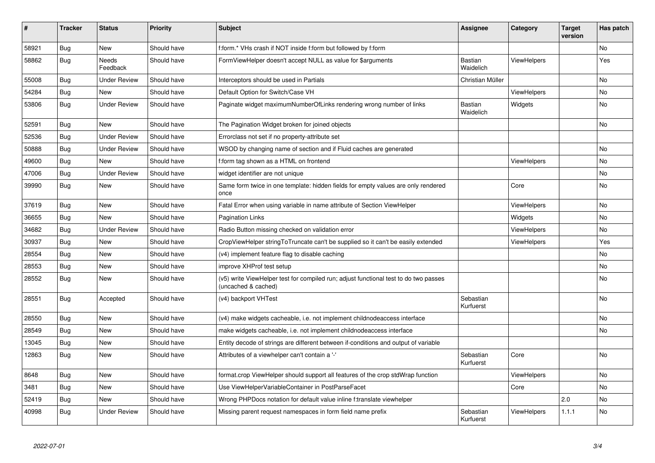| #     | <b>Tracker</b> | <b>Status</b>       | <b>Priority</b> | <b>Subject</b>                                                                                              | Assignee               | Category    | <b>Target</b><br>version | Has patch |
|-------|----------------|---------------------|-----------------|-------------------------------------------------------------------------------------------------------------|------------------------|-------------|--------------------------|-----------|
| 58921 | <b>Bug</b>     | <b>New</b>          | Should have     | f:form.* VHs crash if NOT inside f:form but followed by f:form                                              |                        |             |                          | No.       |
| 58862 | Bug            | Needs<br>Feedback   | Should have     | FormViewHelper doesn't accept NULL as value for \$arguments                                                 | Bastian<br>Waidelich   | ViewHelpers |                          | Yes       |
| 55008 | <b>Bug</b>     | <b>Under Review</b> | Should have     | Interceptors should be used in Partials                                                                     | Christian Müller       |             |                          | No        |
| 54284 | Bug            | <b>New</b>          | Should have     | Default Option for Switch/Case VH                                                                           |                        | ViewHelpers |                          | No        |
| 53806 | Bug            | <b>Under Review</b> | Should have     | Paginate widget maximumNumberOfLinks rendering wrong number of links                                        | Bastian<br>Waidelich   | Widgets     |                          | No        |
| 52591 | Bug            | <b>New</b>          | Should have     | The Pagination Widget broken for joined objects                                                             |                        |             |                          | No        |
| 52536 | Bug            | <b>Under Review</b> | Should have     | Errorclass not set if no property-attribute set                                                             |                        |             |                          |           |
| 50888 | Bug            | <b>Under Review</b> | Should have     | WSOD by changing name of section and if Fluid caches are generated                                          |                        |             |                          | No        |
| 49600 | <b>Bug</b>     | New                 | Should have     | f:form tag shown as a HTML on frontend                                                                      |                        | ViewHelpers |                          | No        |
| 47006 | Bug            | <b>Under Review</b> | Should have     | widget identifier are not unique                                                                            |                        |             |                          | No        |
| 39990 | Bug            | New                 | Should have     | Same form twice in one template: hidden fields for empty values are only rendered<br>once                   |                        | Core        |                          | <b>No</b> |
| 37619 | Bug            | <b>New</b>          | Should have     | Fatal Error when using variable in name attribute of Section ViewHelper                                     |                        | ViewHelpers |                          | No        |
| 36655 | Bug            | <b>New</b>          | Should have     | <b>Pagination Links</b>                                                                                     |                        | Widgets     |                          | No.       |
| 34682 | Bug            | <b>Under Review</b> | Should have     | Radio Button missing checked on validation error                                                            |                        | ViewHelpers |                          | No        |
| 30937 | Bug            | <b>New</b>          | Should have     | CropViewHelper stringToTruncate can't be supplied so it can't be easily extended                            |                        | ViewHelpers |                          | Yes       |
| 28554 | Bug            | <b>New</b>          | Should have     | (v4) implement feature flag to disable caching                                                              |                        |             |                          | No        |
| 28553 | <b>Bug</b>     | New                 | Should have     | improve XHProf test setup                                                                                   |                        |             |                          | No        |
| 28552 | Bug            | New                 | Should have     | (v5) write ViewHelper test for compiled run; adjust functional test to do two passes<br>(uncached & cached) |                        |             |                          | No        |
| 28551 | <b>Bug</b>     | Accepted            | Should have     | (v4) backport VHTest                                                                                        | Sebastian<br>Kurfuerst |             |                          | <b>No</b> |
| 28550 | Bug            | <b>New</b>          | Should have     | (v4) make widgets cacheable, i.e. not implement childnodeaccess interface                                   |                        |             |                          | No        |
| 28549 | Bug            | <b>New</b>          | Should have     | make widgets cacheable, i.e. not implement childnodeaccess interface                                        |                        |             |                          | No        |
| 13045 | Bug            | New                 | Should have     | Entity decode of strings are different between if-conditions and output of variable                         |                        |             |                          |           |
| 12863 | Bug            | New                 | Should have     | Attributes of a viewhelper can't contain a '-'                                                              | Sebastian<br>Kurfuerst | Core        |                          | No        |
| 8648  | Bug            | <b>New</b>          | Should have     | format.crop ViewHelper should support all features of the crop stdWrap function                             |                        | ViewHelpers |                          | No        |
| 3481  | Bug            | <b>New</b>          | Should have     | Use ViewHelperVariableContainer in PostParseFacet                                                           |                        | Core        |                          | No        |
| 52419 | Bug            | New                 | Should have     | Wrong PHPDocs notation for default value inline f:translate viewhelper                                      |                        |             | 2.0                      | No        |
| 40998 | Bug            | <b>Under Review</b> | Should have     | Missing parent request namespaces in form field name prefix                                                 | Sebastian<br>Kurfuerst | ViewHelpers | 1.1.1                    | No        |